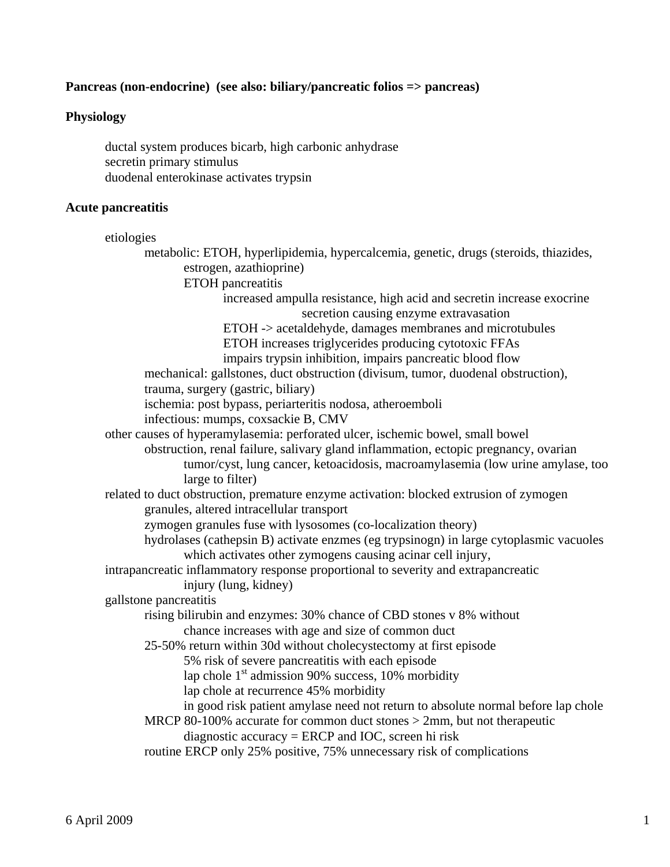# **Pancreas (non-endocrine) (see also: biliary/pancreatic folios => pancreas)**

### **Physiology**

 ductal system produces bicarb, high carbonic anhydrase secretin primary stimulus duodenal enterokinase activates trypsin

#### **Acute pancreatitis**

```
 etiologies 
       metabolic: ETOH, hyperlipidemia, hypercalcemia, genetic, drugs (steroids, thiazides, 
               estrogen, azathioprine) 
               ETOH pancreatitis 
                      increased ampulla resistance, high acid and secretin increase exocrine 
                                      secretion causing enzyme extravasation 
                      ETOH -> acetaldehyde, damages membranes and microtubules 
                      ETOH increases triglycerides producing cytotoxic FFAs 
                      impairs trypsin inhibition, impairs pancreatic blood flow 
       mechanical: gallstones, duct obstruction (divisum, tumor, duodenal obstruction), 
       trauma, surgery (gastric, biliary) 
       ischemia: post bypass, periarteritis nodosa, atheroemboli 
       infectious: mumps, coxsackie B, CMV 
other causes of hyperamylasemia: perforated ulcer, ischemic bowel, small bowel 
       obstruction, renal failure, salivary gland inflammation, ectopic pregnancy, ovarian 
               tumor/cyst, lung cancer, ketoacidosis, macroamylasemia (low urine amylase, too 
               large to filter) 
related to duct obstruction, premature enzyme activation: blocked extrusion of zymogen 
       granules, altered intracellular transport 
       zymogen granules fuse with lysosomes (co-localization theory) 
       hydrolases (cathepsin B) activate enzmes (eg trypsinogn) in large cytoplasmic vacuoles 
               which activates other zymogens causing acinar cell injury, 
intrapancreatic inflammatory response proportional to severity and extrapancreatic 
               injury (lung, kidney) 
gallstone pancreatitis 
       rising bilirubin and enzymes: 30% chance of CBD stones v 8% without 
               chance increases with age and size of common duct 
       25-50% return within 30d without cholecystectomy at first episode 
               5% risk of severe pancreatitis with each episode 
              lap chole 1<sup>st</sup> admission 90% success, 10% morbidity
               lap chole at recurrence 45% morbidity 
               in good risk patient amylase need not return to absolute normal before lap chole 
       MRCP 80-100% accurate for common duct stones > 2mm, but not therapeutic 
               diagnostic accuracy = ERCP and IOC, screen hi risk
```
routine ERCP only 25% positive, 75% unnecessary risk of complications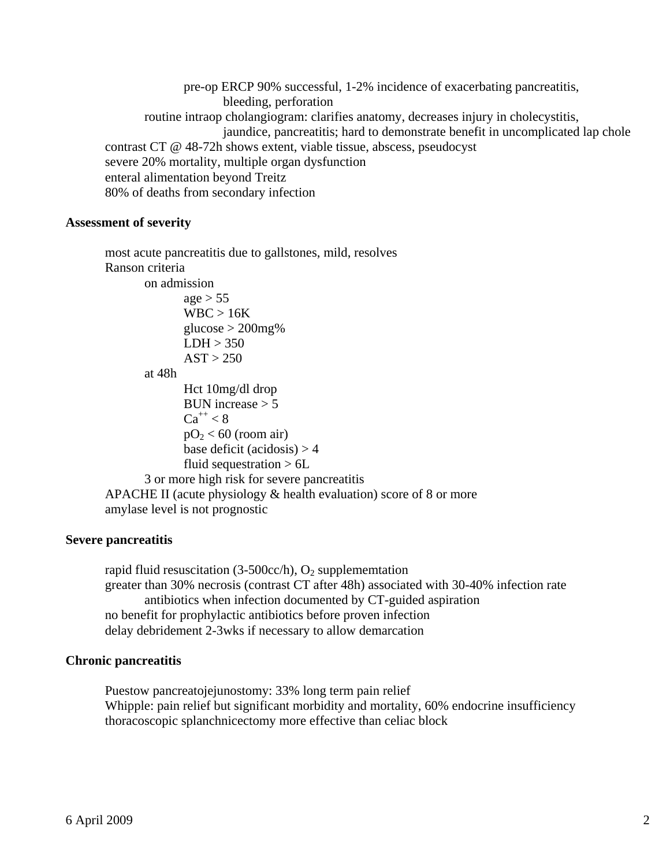pre-op ERCP 90% successful, 1-2% incidence of exacerbating pancreatitis, bleeding, perforation routine intraop cholangiogram: clarifies anatomy, decreases injury in cholecystitis, jaundice, pancreatitis; hard to demonstrate benefit in uncomplicated lap chole contrast CT @ 48-72h shows extent, viable tissue, abscess, pseudocyst severe 20% mortality, multiple organ dysfunction enteral alimentation beyond Treitz 80% of deaths from secondary infection

### **Assessment of severity**

most acute pancreatitis due to gallstones, mild, resolves Ranson criteria on admission  $age > 55$  WBC > 16K glucose  $>$  200mg%  $LDH > 350$  $AST > 250$  at 48h Hct 10mg/dl drop BUN increase  $> 5$  $Ca^{++} < 8$  $pO<sub>2</sub> < 60$  (room air) base deficit (acidosis)  $> 4$  fluid sequestration > 6L 3 or more high risk for severe pancreatitis APACHE II (acute physiology  $&$  health evaluation) score of 8 or more amylase level is not prognostic

# **Severe pancreatitis**

rapid fluid resuscitation  $(3-500cc/h)$ , O<sub>2</sub> supplememtation greater than 30% necrosis (contrast CT after 48h) associated with 30-40% infection rate antibiotics when infection documented by CT-guided aspiration no benefit for prophylactic antibiotics before proven infection delay debridement 2-3wks if necessary to allow demarcation

### **Chronic pancreatitis**

 Puestow pancreatojejunostomy: 33% long term pain relief Whipple: pain relief but significant morbidity and mortality, 60% endocrine insufficiency thoracoscopic splanchnicectomy more effective than celiac block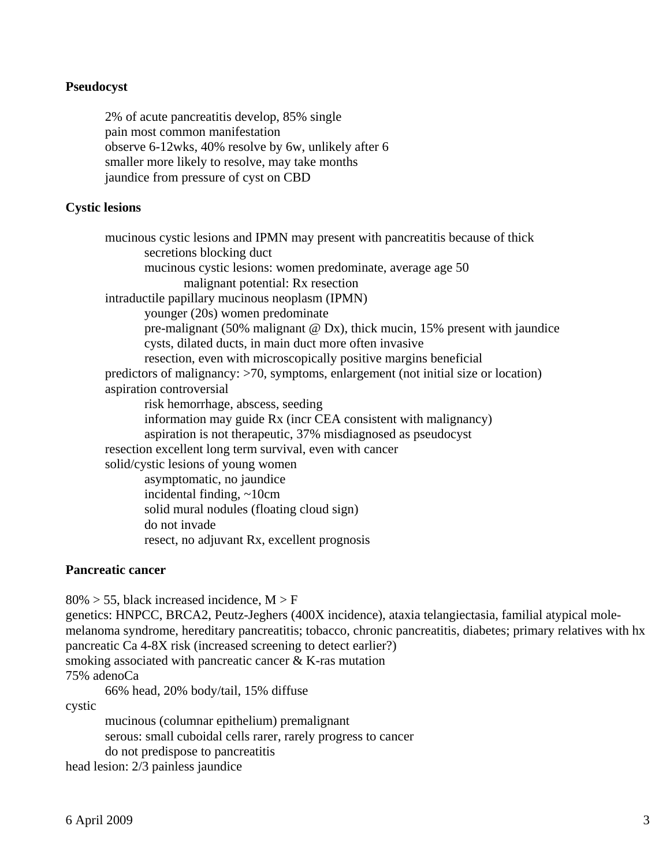# **Pseudocyst**

 2% of acute pancreatitis develop, 85% single pain most common manifestation observe 6-12wks, 40% resolve by 6w, unlikely after 6 smaller more likely to resolve, may take months jaundice from pressure of cyst on CBD

# **Cystic lesions**

 mucinous cystic lesions and IPMN may present with pancreatitis because of thick secretions blocking duct mucinous cystic lesions: women predominate, average age 50 malignant potential: Rx resection intraductile papillary mucinous neoplasm (IPMN) younger (20s) women predominate pre-malignant (50% malignant @ Dx), thick mucin, 15% present with jaundice cysts, dilated ducts, in main duct more often invasive resection, even with microscopically positive margins beneficial predictors of malignancy: >70, symptoms, enlargement (not initial size or location) aspiration controversial risk hemorrhage, abscess, seeding information may guide Rx (incr CEA consistent with malignancy) aspiration is not therapeutic, 37% misdiagnosed as pseudocyst resection excellent long term survival, even with cancer solid/cystic lesions of young women asymptomatic, no jaundice incidental finding, ~10cm solid mural nodules (floating cloud sign) do not invade resect, no adjuvant Rx, excellent prognosis

# **Pancreatic cancer**

 $80\% > 55$ , black increased incidence, M  $>$  F

genetics: HNPCC, BRCA2, Peutz-Jeghers (400X incidence), ataxia telangiectasia, familial atypical molemelanoma syndrome, hereditary pancreatitis; tobacco, chronic pancreatitis, diabetes; primary relatives with hx pancreatic Ca 4-8X risk (increased screening to detect earlier?) smoking associated with pancreatic cancer & K-ras mutation 75% adenoCa

66% head, 20% body/tail, 15% diffuse

cystic

 mucinous (columnar epithelium) premalignant serous: small cuboidal cells rarer, rarely progress to cancer do not predispose to pancreatitis

head lesion: 2/3 painless jaundice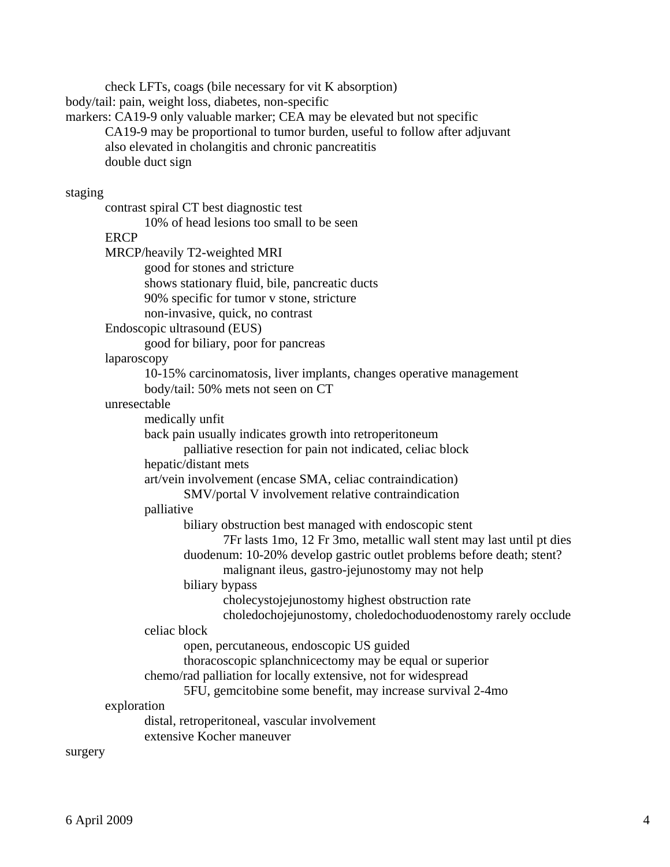check LFTs, coags (bile necessary for vit K absorption) body/tail: pain, weight loss, diabetes, non-specific markers: CA19-9 only valuable marker; CEA may be elevated but not specific CA19-9 may be proportional to tumor burden, useful to follow after adjuvant also elevated in cholangitis and chronic pancreatitis double duct sign staging contrast spiral CT best diagnostic test 10% of head lesions too small to be seen **ERCP**  MRCP/heavily T2-weighted MRI good for stones and stricture shows stationary fluid, bile, pancreatic ducts 90% specific for tumor v stone, stricture non-invasive, quick, no contrast Endoscopic ultrasound (EUS) good for biliary, poor for pancreas laparoscopy 10-15% carcinomatosis, liver implants, changes operative management body/tail: 50% mets not seen on CT unresectable medically unfit back pain usually indicates growth into retroperitoneum palliative resection for pain not indicated, celiac block hepatic/distant mets art/vein involvement (encase SMA, celiac contraindication) SMV/portal V involvement relative contraindication palliative biliary obstruction best managed with endoscopic stent 7Fr lasts 1mo, 12 Fr 3mo, metallic wall stent may last until pt dies duodenum: 10-20% develop gastric outlet problems before death; stent? malignant ileus, gastro-jejunostomy may not help biliary bypass cholecystojejunostomy highest obstruction rate choledochojejunostomy, choledochoduodenostomy rarely occlude celiac block open, percutaneous, endoscopic US guided thoracoscopic splanchnicectomy may be equal or superior chemo/rad palliation for locally extensive, not for widespread 5FU, gemcitobine some benefit, may increase survival 2-4mo exploration distal, retroperitoneal, vascular involvement extensive Kocher maneuver surgery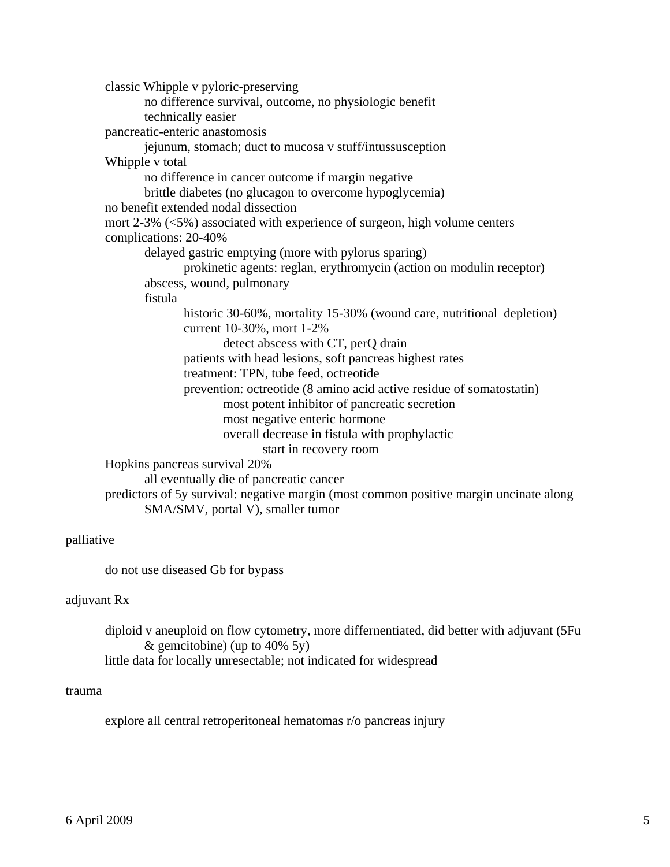classic Whipple v pyloric-preserving no difference survival, outcome, no physiologic benefit technically easier pancreatic-enteric anastomosis jejunum, stomach; duct to mucosa v stuff/intussusception Whipple v total no difference in cancer outcome if margin negative brittle diabetes (no glucagon to overcome hypoglycemia) no benefit extended nodal dissection mort 2-3% (<5%) associated with experience of surgeon, high volume centers complications: 20-40% delayed gastric emptying (more with pylorus sparing) prokinetic agents: reglan, erythromycin (action on modulin receptor) abscess, wound, pulmonary fistula historic 30-60%, mortality 15-30% (wound care, nutritional depletion) current 10-30%, mort 1-2% detect abscess with CT, perQ drain patients with head lesions, soft pancreas highest rates treatment: TPN, tube feed, octreotide prevention: octreotide (8 amino acid active residue of somatostatin) most potent inhibitor of pancreatic secretion most negative enteric hormone overall decrease in fistula with prophylactic start in recovery room Hopkins pancreas survival 20% all eventually die of pancreatic cancer predictors of 5y survival: negative margin (most common positive margin uncinate along

SMA/SMV, portal V), smaller tumor

# palliative

do not use diseased Gb for bypass

### adjuvant Rx

 diploid v aneuploid on flow cytometry, more differnentiated, did better with adjuvant (5Fu & gemcitobine) (up to  $40\%$  5y) little data for locally unresectable; not indicated for widespread

### trauma

explore all central retroperitoneal hematomas r/o pancreas injury